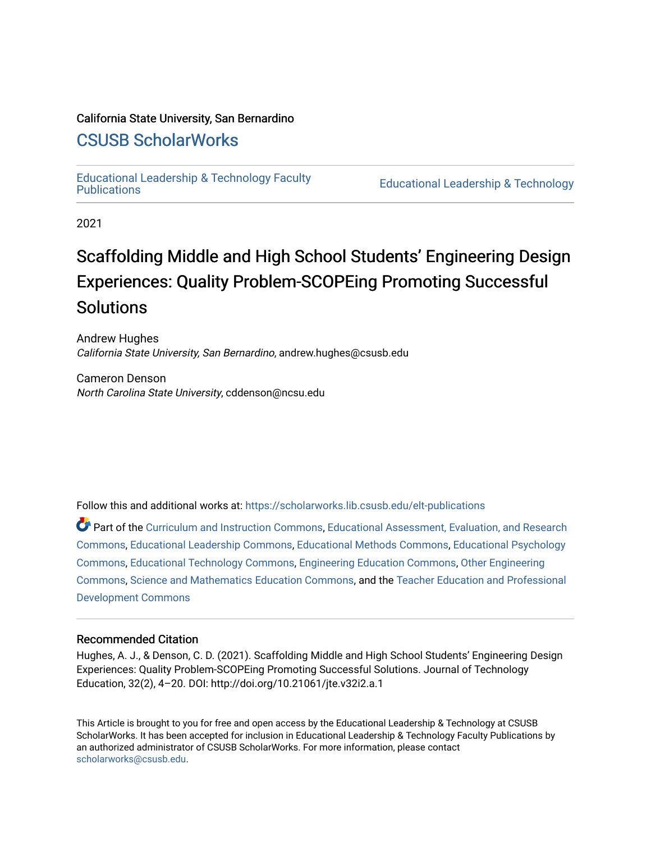## California State University, San Bernardino

# [CSUSB ScholarWorks](https://scholarworks.lib.csusb.edu/)

[Educational Leadership & Technology Faculty](https://scholarworks.lib.csusb.edu/elt-publications) 

**Educational Leadership & Technology** 

2021

# Scaffolding Middle and High School Students' Engineering Design Experiences: Quality Problem-SCOPEing Promoting Successful **Solutions**

Andrew Hughes California State University, San Bernardino, andrew.hughes@csusb.edu

Cameron Denson North Carolina State University, cddenson@ncsu.edu

Follow this and additional works at: [https://scholarworks.lib.csusb.edu/elt-publications](https://scholarworks.lib.csusb.edu/elt-publications?utm_source=scholarworks.lib.csusb.edu%2Felt-publications%2F4&utm_medium=PDF&utm_campaign=PDFCoverPages) 

Part of the [Curriculum and Instruction Commons,](http://network.bepress.com/hgg/discipline/786?utm_source=scholarworks.lib.csusb.edu%2Felt-publications%2F4&utm_medium=PDF&utm_campaign=PDFCoverPages) [Educational Assessment, Evaluation, and Research](http://network.bepress.com/hgg/discipline/796?utm_source=scholarworks.lib.csusb.edu%2Felt-publications%2F4&utm_medium=PDF&utm_campaign=PDFCoverPages)  [Commons](http://network.bepress.com/hgg/discipline/796?utm_source=scholarworks.lib.csusb.edu%2Felt-publications%2F4&utm_medium=PDF&utm_campaign=PDFCoverPages), [Educational Leadership Commons,](http://network.bepress.com/hgg/discipline/1230?utm_source=scholarworks.lib.csusb.edu%2Felt-publications%2F4&utm_medium=PDF&utm_campaign=PDFCoverPages) [Educational Methods Commons,](http://network.bepress.com/hgg/discipline/1227?utm_source=scholarworks.lib.csusb.edu%2Felt-publications%2F4&utm_medium=PDF&utm_campaign=PDFCoverPages) [Educational Psychology](http://network.bepress.com/hgg/discipline/798?utm_source=scholarworks.lib.csusb.edu%2Felt-publications%2F4&utm_medium=PDF&utm_campaign=PDFCoverPages) [Commons](http://network.bepress.com/hgg/discipline/798?utm_source=scholarworks.lib.csusb.edu%2Felt-publications%2F4&utm_medium=PDF&utm_campaign=PDFCoverPages), [Educational Technology Commons](http://network.bepress.com/hgg/discipline/1415?utm_source=scholarworks.lib.csusb.edu%2Felt-publications%2F4&utm_medium=PDF&utm_campaign=PDFCoverPages), [Engineering Education Commons](http://network.bepress.com/hgg/discipline/1191?utm_source=scholarworks.lib.csusb.edu%2Felt-publications%2F4&utm_medium=PDF&utm_campaign=PDFCoverPages), [Other Engineering](http://network.bepress.com/hgg/discipline/315?utm_source=scholarworks.lib.csusb.edu%2Felt-publications%2F4&utm_medium=PDF&utm_campaign=PDFCoverPages)  [Commons](http://network.bepress.com/hgg/discipline/315?utm_source=scholarworks.lib.csusb.edu%2Felt-publications%2F4&utm_medium=PDF&utm_campaign=PDFCoverPages), [Science and Mathematics Education Commons,](http://network.bepress.com/hgg/discipline/800?utm_source=scholarworks.lib.csusb.edu%2Felt-publications%2F4&utm_medium=PDF&utm_campaign=PDFCoverPages) and the [Teacher Education and Professional](http://network.bepress.com/hgg/discipline/803?utm_source=scholarworks.lib.csusb.edu%2Felt-publications%2F4&utm_medium=PDF&utm_campaign=PDFCoverPages)  [Development Commons](http://network.bepress.com/hgg/discipline/803?utm_source=scholarworks.lib.csusb.edu%2Felt-publications%2F4&utm_medium=PDF&utm_campaign=PDFCoverPages) 

# Recommended Citation

Hughes, A. J., & Denson, C. D. (2021). Scaffolding Middle and High School Students' Engineering Design Experiences: Quality Problem-SCOPEing Promoting Successful Solutions. Journal of Technology Education, 32(2), 4–20. DOI: http://doi.org/10.21061/jte.v32i2.a.1

This Article is brought to you for free and open access by the Educational Leadership & Technology at CSUSB ScholarWorks. It has been accepted for inclusion in Educational Leadership & Technology Faculty Publications by an authorized administrator of CSUSB ScholarWorks. For more information, please contact [scholarworks@csusb.edu](mailto:scholarworks@csusb.edu).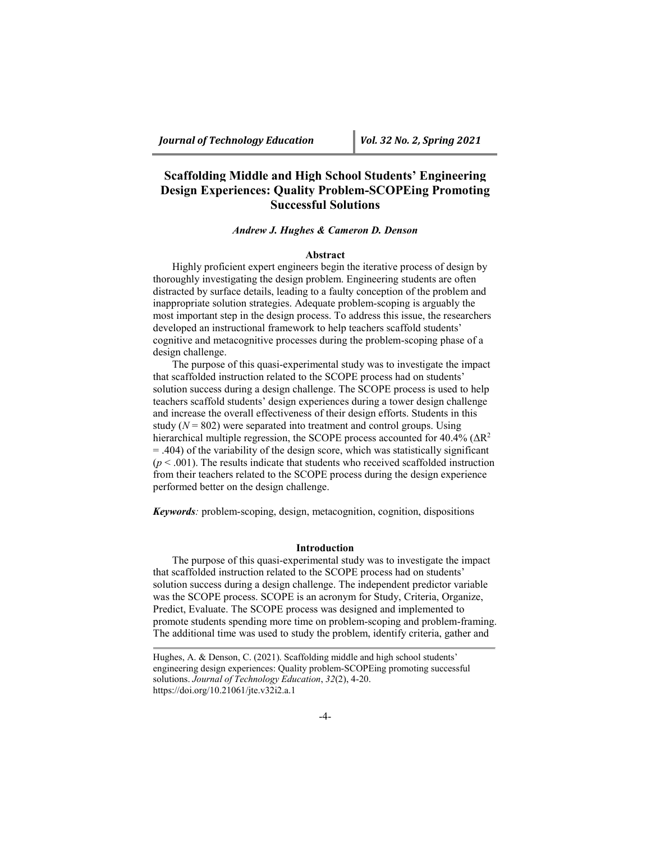# **Scaffolding Middle and High School Students' Engineering Design Experiences: Quality Problem-SCOPEing Promoting Successful Solutions**

#### *Andrew J. Hughes & Cameron D. Denson*

#### **Abstract**

Highly proficient expert engineers begin the iterative process of design by thoroughly investigating the design problem. Engineering students are often distracted by surface details, leading to a faulty conception of the problem and inappropriate solution strategies. Adequate problem-scoping is arguably the most important step in the design process. To address this issue, the researchers developed an instructional framework to help teachers scaffold students' cognitive and metacognitive processes during the problem-scoping phase of a design challenge.

The purpose of this quasi-experimental study was to investigate the impact that scaffolded instruction related to the SCOPE process had on students' solution success during a design challenge. The SCOPE process is used to help teachers scaffold students' design experiences during a tower design challenge and increase the overall effectiveness of their design efforts. Students in this study  $(N = 802)$  were separated into treatment and control groups. Using hierarchical multiple regression, the SCOPE process accounted for 40.4% ( $\Delta R^2$ = .404) of the variability of the design score, which was statistically significant  $(p < .001)$ . The results indicate that students who received scaffolded instruction from their teachers related to the SCOPE process during the design experience performed better on the design challenge.

*Keywords:* problem-scoping, design, metacognition, cognition, dispositions

#### **Introduction**

The purpose of this quasi-experimental study was to investigate the impact that scaffolded instruction related to the SCOPE process had on students' solution success during a design challenge. The independent predictor variable was the SCOPE process. SCOPE is an acronym for Study, Criteria, Organize, Predict, Evaluate. The SCOPE process was designed and implemented to promote students spending more time on problem-scoping and problem-framing. The additional time was used to study the problem, identify criteria, gather and

Hughes, A. & Denson, C. (2021). Scaffolding middle and high school students' engineering design experiences: Quality problem-SCOPEing promoting successful solutions. *Journal of Technology Education*, *32*(2), 4-20. [https://doi.org/10.21061/jte.v32i2.a.1](https://doi.org/10.21061/jte.v32i1.a.3)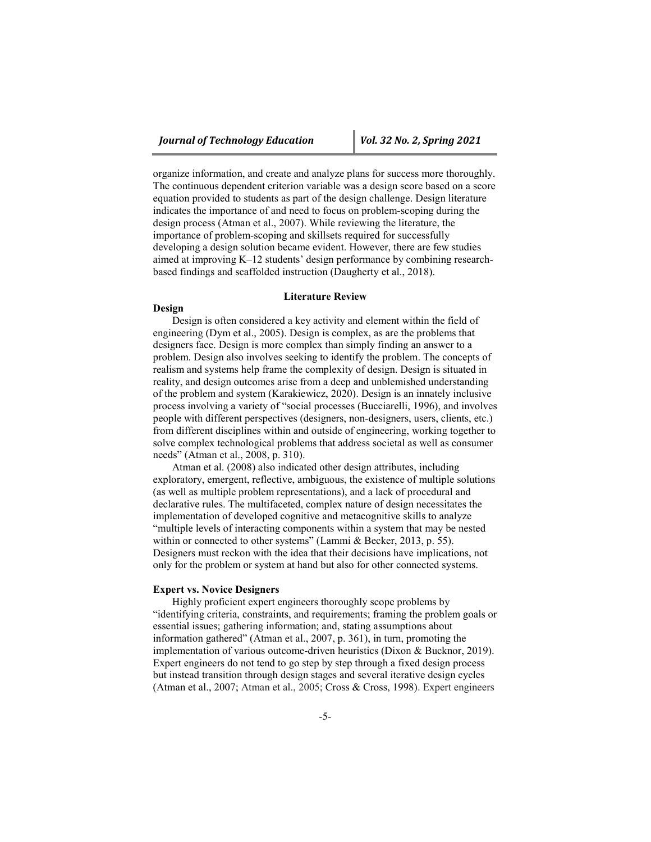organize information, and create and analyze plans for success more thoroughly. The continuous dependent criterion variable was a design score based on a score equation provided to students as part of the design challenge. Design literature indicates the importance of and need to focus on problem-scoping during the design process (Atman et al., 2007). While reviewing the literature, the importance of problem-scoping and skillsets required for successfully developing a design solution became evident. However, there are few studies aimed at improving K–12 students' design performance by combining researchbased findings and scaffolded instruction (Daugherty et al., 2018).

#### **Literature Review**

#### **Design**

Design is often considered a key activity and element within the field of engineering (Dym et al., 2005). Design is complex, as are the problems that designers face. Design is more complex than simply finding an answer to a problem. Design also involves seeking to identify the problem. The concepts of realism and systems help frame the complexity of design. Design is situated in reality, and design outcomes arise from a deep and unblemished understanding of the problem and system (Karakiewicz, 2020). Design is an innately inclusive process involving a variety of "social processes (Bucciarelli, 1996), and involves people with different perspectives (designers, non-designers, users, clients, etc.) from different disciplines within and outside of engineering, working together to solve complex technological problems that address societal as well as consumer needs" (Atman et al., 2008, p. 310).

Atman et al. (2008) also indicated other design attributes, including exploratory, emergent, reflective, ambiguous, the existence of multiple solutions (as well as multiple problem representations), and a lack of procedural and declarative rules. The multifaceted, complex nature of design necessitates the implementation of developed cognitive and metacognitive skills to analyze "multiple levels of interacting components within a system that may be nested within or connected to other systems" (Lammi & Becker, 2013, p. 55). Designers must reckon with the idea that their decisions have implications, not only for the problem or system at hand but also for other connected systems.

#### **Expert vs. Novice Designers**

Highly proficient expert engineers thoroughly scope problems by "identifying criteria, constraints, and requirements; framing the problem goals or essential issues; gathering information; and, stating assumptions about information gathered" (Atman et al., 2007, p. 361), in turn, promoting the implementation of various outcome-driven heuristics (Dixon & Bucknor, 2019). Expert engineers do not tend to go step by step through a fixed design process but instead transition through design stages and several iterative design cycles (Atman et al., 2007; Atman et al., 2005; Cross & Cross, 1998). Expert engineers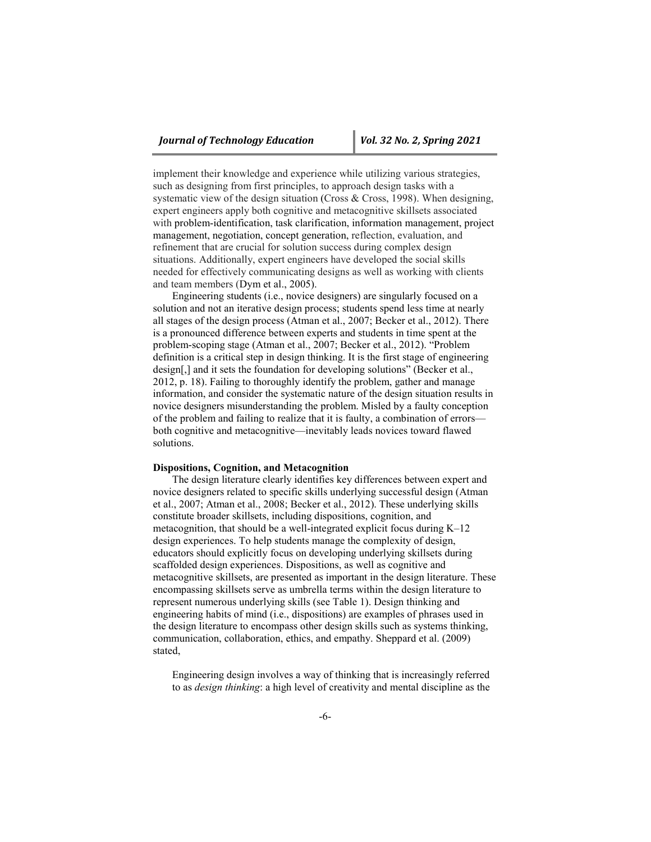implement their knowledge and experience while utilizing various strategies, such as designing from first principles, to approach design tasks with a systematic view of the design situation (Cross & Cross, 1998). When designing, expert engineers apply both cognitive and metacognitive skillsets associated with problem-identification, task clarification, information management, project management, negotiation, concept generation, reflection, evaluation, and refinement that are crucial for solution success during complex design situations. Additionally, expert engineers have developed the social skills needed for effectively communicating designs as well as working with clients and team members (Dym et al., 2005).

Engineering students (i.e., novice designers) are singularly focused on a solution and not an iterative design process; students spend less time at nearly all stages of the design process (Atman et al., 2007; Becker et al., 2012). There is a pronounced difference between experts and students in time spent at the problem-scoping stage (Atman et al., 2007; Becker et al., 2012). "Problem definition is a critical step in design thinking. It is the first stage of engineering design[,] and it sets the foundation for developing solutions" (Becker et al., 2012, p. 18). Failing to thoroughly identify the problem, gather and manage information, and consider the systematic nature of the design situation results in novice designers misunderstanding the problem. Misled by a faulty conception of the problem and failing to realize that it is faulty, a combination of errors both cognitive and metacognitive—inevitably leads novices toward flawed solutions.

#### **Dispositions, Cognition, and Metacognition**

The design literature clearly identifies key differences between expert and novice designers related to specific skills underlying successful design (Atman et al., 2007; Atman et al., 2008; Becker et al., 2012). These underlying skills constitute broader skillsets, including dispositions, cognition, and metacognition, that should be a well-integrated explicit focus during  $K-12$ design experiences. To help students manage the complexity of design, educators should explicitly focus on developing underlying skillsets during scaffolded design experiences. Dispositions, as well as cognitive and metacognitive skillsets, are presented as important in the design literature. These encompassing skillsets serve as umbrella terms within the design literature to represent numerous underlying skills (see Table 1). Design thinking and engineering habits of mind (i.e., dispositions) are examples of phrases used in the design literature to encompass other design skills such as systems thinking, communication, collaboration, ethics, and empathy. Sheppard et al. (2009) stated,

Engineering design involves a way of thinking that is increasingly referred to as *design thinking*: a high level of creativity and mental discipline as the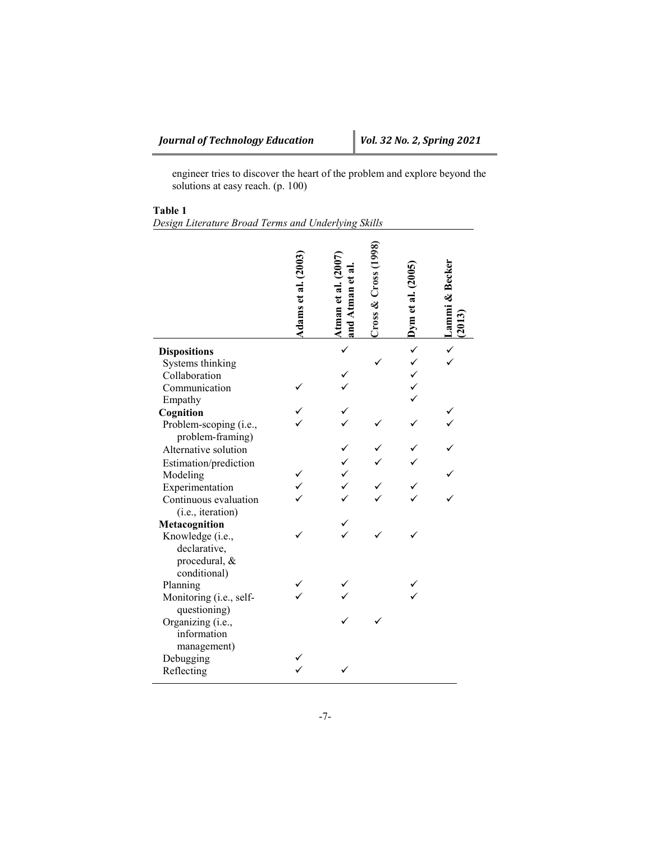engineer tries to discover the heart of the problem and explore beyond the solutions at easy reach. (p. 100)

# **Table 1**

*Design Literature Broad Terms and Underlying Skills*

|                                                                   | Adams et al. (2003) | and Atman et al<br>Atman et al. ( | Cross & Cross | Dym et al. $(2005)$ | Lammi & Becker |
|-------------------------------------------------------------------|---------------------|-----------------------------------|---------------|---------------------|----------------|
| <b>Dispositions</b>                                               |                     |                                   |               | √ √ √               |                |
| Systems thinking                                                  |                     |                                   |               |                     |                |
| Collaboration                                                     |                     |                                   |               |                     |                |
| Communication                                                     |                     |                                   |               |                     |                |
| Empathy                                                           |                     |                                   |               |                     |                |
| Cognition                                                         |                     |                                   |               |                     |                |
| Problem-scoping (i.e.,<br>problem-framing)                        |                     |                                   |               |                     |                |
| Alternative solution                                              |                     |                                   |               |                     |                |
| Estimation/prediction                                             |                     |                                   |               |                     |                |
| Modeling                                                          |                     |                                   |               |                     |                |
| Experimentation                                                   |                     |                                   |               |                     |                |
| Continuous evaluation                                             |                     |                                   |               |                     |                |
| (i.e., iteration)                                                 |                     |                                   |               |                     |                |
| Metacognition                                                     |                     |                                   |               |                     |                |
| Knowledge (i.e.,<br>declarative,<br>procedural, &<br>conditional) |                     |                                   |               |                     |                |
| Planning                                                          |                     |                                   |               |                     |                |
| Monitoring (i.e., self-<br>questioning)                           |                     |                                   |               |                     |                |
| Organizing (i.e.,<br>information<br>management)                   |                     |                                   |               |                     |                |
| Debugging                                                         |                     |                                   |               |                     |                |
| Reflecting                                                        |                     |                                   |               |                     |                |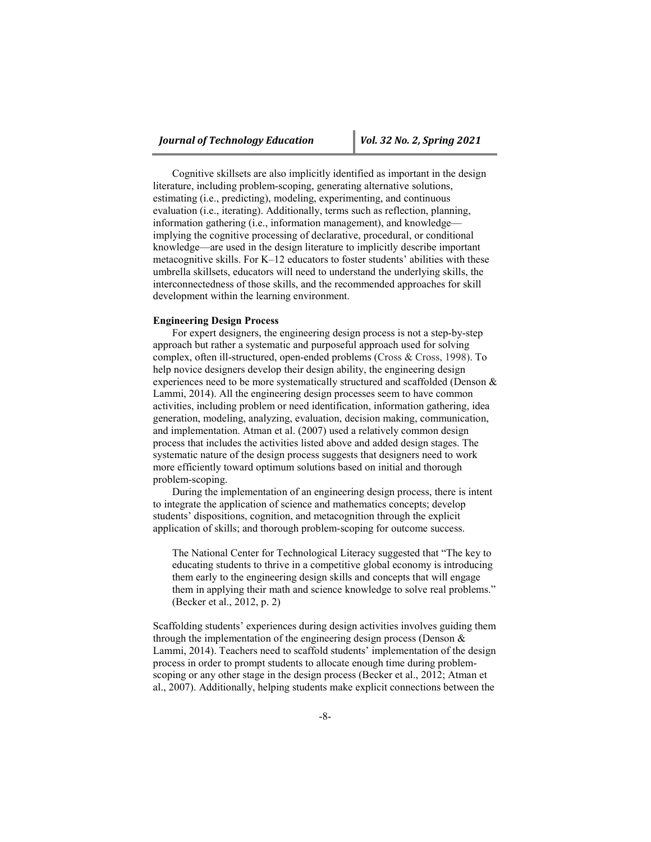Cognitive skillsets are also implicitly identified as important in the design literature, including problem-scoping, generating alternative solutions, estimating (i.e., predicting), modeling, experimenting, and continuous evaluation (i.e., iterating). Additionally, terms such as reflection, planning, information gathering (i.e., information management), and knowledge implying the cognitive processing of declarative, procedural, or conditional knowledge—are used in the design literature to implicitly describe important metacognitive skills. For K–12 educators to foster students' abilities with these umbrella skillsets, educators will need to understand the underlying skills, the interconnectedness of those skills, and the recommended approaches for skill development within the learning environment.

#### **Engineering Design Process**

For expert designers, the engineering design process is not a step-by-step approach but rather a systematic and purposeful approach used for solving complex, often ill-structured, open-ended problems (Cross & Cross, 1998). To help novice designers develop their design ability, the engineering design experiences need to be more systematically structured and scaffolded (Denson & Lammi, 2014). All the engineering design processes seem to have common activities, including problem or need identification, information gathering, idea generation, modeling, analyzing, evaluation, decision making, communication, and implementation. Atman et al. (2007) used a relatively common design process that includes the activities listed above and added design stages. The systematic nature of the design process suggests that designers need to work more efficiently toward optimum solutions based on initial and thorough problem-scoping.

During the implementation of an engineering design process, there is intent to integrate the application of science and mathematics concepts; develop students' dispositions, cognition, and metacognition through the explicit application of skills; and thorough problem-scoping for outcome success.

The National Center for Technological Literacy suggested that "The key to educating students to thrive in a competitive global economy is introducing them early to the engineering design skills and concepts that will engage them in applying their math and science knowledge to solve real problems." (Becker et al., 2012, p. 2)

Scaffolding students' experiences during design activities involves guiding them through the implementation of the engineering design process (Denson & Lammi, 2014). Teachers need to scaffold students' implementation of the design process in order to prompt students to allocate enough time during problemscoping or any other stage in the design process (Becker et al., 2012; Atman et al., 2007). Additionally, helping students make explicit connections between the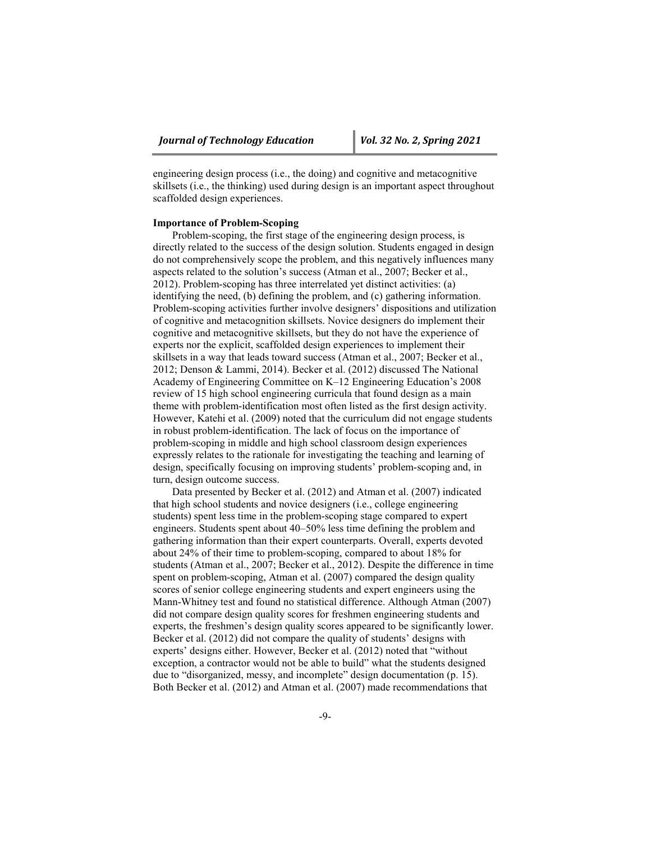engineering design process (i.e., the doing) and cognitive and metacognitive skillsets (i.e., the thinking) used during design is an important aspect throughout scaffolded design experiences.

#### **Importance of Problem-Scoping**

Problem-scoping, the first stage of the engineering design process, is directly related to the success of the design solution. Students engaged in design do not comprehensively scope the problem, and this negatively influences many aspects related to the solution's success (Atman et al., 2007; Becker et al., 2012). Problem-scoping has three interrelated yet distinct activities: (a) identifying the need, (b) defining the problem, and (c) gathering information. Problem-scoping activities further involve designers' dispositions and utilization of cognitive and metacognition skillsets. Novice designers do implement their cognitive and metacognitive skillsets, but they do not have the experience of experts nor the explicit, scaffolded design experiences to implement their skillsets in a way that leads toward success (Atman et al., 2007; Becker et al., 2012; Denson & Lammi, 2014). Becker et al. (2012) discussed The National Academy of Engineering Committee on K–12 Engineering Education's 2008 review of 15 high school engineering curricula that found design as a main theme with problem-identification most often listed as the first design activity. However, Katehi et al. (2009) noted that the curriculum did not engage students in robust problem-identification. The lack of focus on the importance of problem-scoping in middle and high school classroom design experiences expressly relates to the rationale for investigating the teaching and learning of design, specifically focusing on improving students' problem-scoping and, in turn, design outcome success.

Data presented by Becker et al. (2012) and Atman et al. (2007) indicated that high school students and novice designers (i.e., college engineering students) spent less time in the problem-scoping stage compared to expert engineers. Students spent about 40–50% less time defining the problem and gathering information than their expert counterparts. Overall, experts devoted about 24% of their time to problem-scoping, compared to about 18% for students (Atman et al., 2007; Becker et al., 2012). Despite the difference in time spent on problem-scoping, Atman et al. (2007) compared the design quality scores of senior college engineering students and expert engineers using the Mann-Whitney test and found no statistical difference. Although Atman (2007) did not compare design quality scores for freshmen engineering students and experts, the freshmen's design quality scores appeared to be significantly lower. Becker et al. (2012) did not compare the quality of students' designs with experts' designs either. However, Becker et al. (2012) noted that "without exception, a contractor would not be able to build" what the students designed due to "disorganized, messy, and incomplete" design documentation (p. 15). Both Becker et al. (2012) and Atman et al. (2007) made recommendations that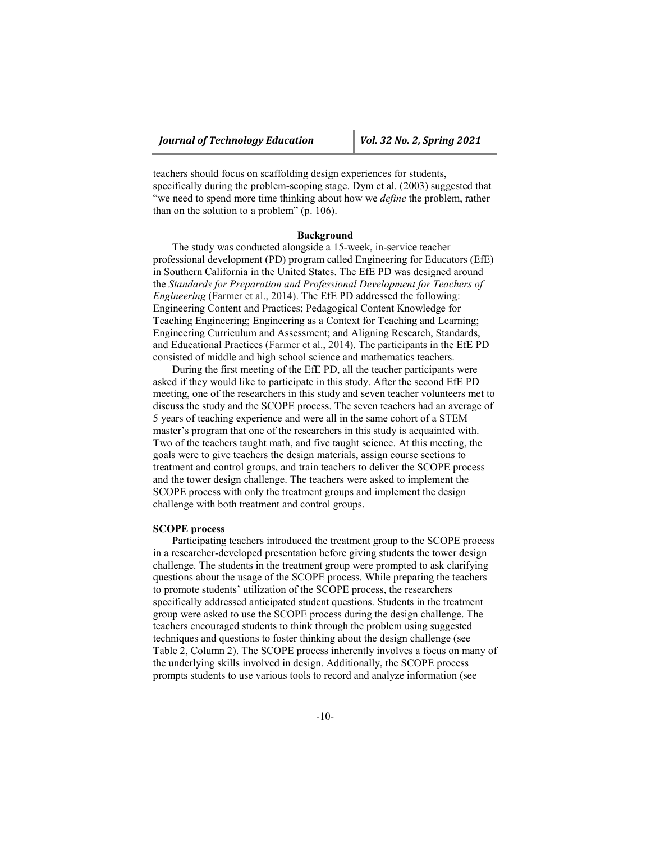teachers should focus on scaffolding design experiences for students, specifically during the problem-scoping stage. Dym et al. (2003) suggested that "we need to spend more time thinking about how we *define* the problem, rather than on the solution to a problem" (p. 106).

#### **Background**

The study was conducted alongside a 15-week, in-service teacher professional development (PD) program called Engineering for Educators (EfE) in Southern California in the United States. The EfE PD was designed around the *Standards for Preparation and Professional Development for Teachers of Engineering* (Farmer et al., 2014). The EfE PD addressed the following: Engineering Content and Practices; Pedagogical Content Knowledge for Teaching Engineering; Engineering as a Context for Teaching and Learning; Engineering Curriculum and Assessment; and Aligning Research, Standards, and Educational Practices (Farmer et al., 2014). The participants in the EfE PD consisted of middle and high school science and mathematics teachers.

During the first meeting of the EfE PD, all the teacher participants were asked if they would like to participate in this study. After the second EfE PD meeting, one of the researchers in this study and seven teacher volunteers met to discuss the study and the SCOPE process. The seven teachers had an average of 5 years of teaching experience and were all in the same cohort of a STEM master's program that one of the researchers in this study is acquainted with. Two of the teachers taught math, and five taught science. At this meeting, the goals were to give teachers the design materials, assign course sections to treatment and control groups, and train teachers to deliver the SCOPE process and the tower design challenge. The teachers were asked to implement the SCOPE process with only the treatment groups and implement the design challenge with both treatment and control groups.

#### **SCOPE process**

Participating teachers introduced the treatment group to the SCOPE process in a researcher-developed presentation before giving students the tower design challenge. The students in the treatment group were prompted to ask clarifying questions about the usage of the SCOPE process. While preparing the teachers to promote students' utilization of the SCOPE process, the researchers specifically addressed anticipated student questions. Students in the treatment group were asked to use the SCOPE process during the design challenge. The teachers encouraged students to think through the problem using suggested techniques and questions to foster thinking about the design challenge (see Table 2, Column 2). The SCOPE process inherently involves a focus on many of the underlying skills involved in design. Additionally, the SCOPE process prompts students to use various tools to record and analyze information (see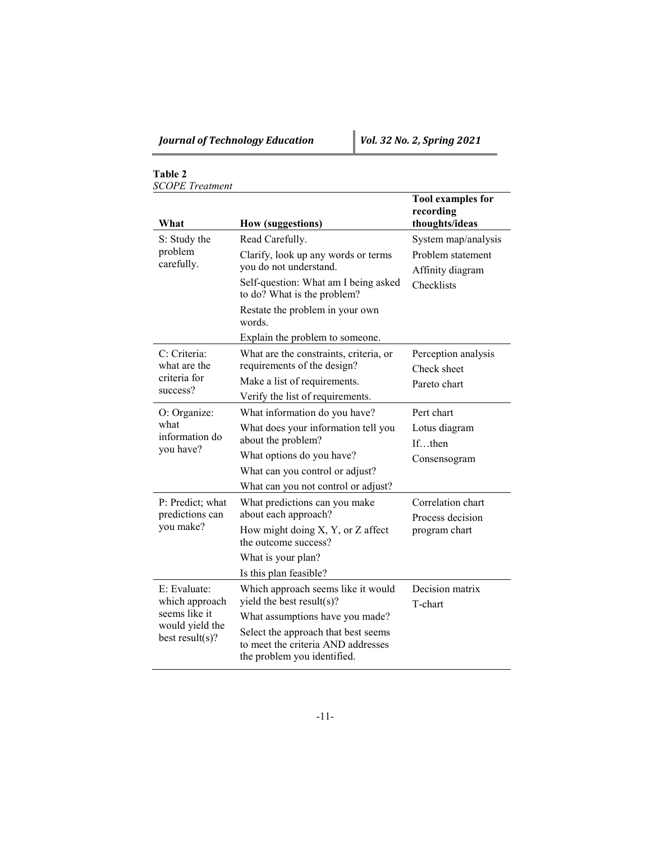## **Table 2** *SCOPE Treatment*

| What                                                   | <b>How (suggestions)</b>                                                                                                                    | <b>Tool examples for</b><br>recording<br>thoughts/ideas      |  |  |
|--------------------------------------------------------|---------------------------------------------------------------------------------------------------------------------------------------------|--------------------------------------------------------------|--|--|
| S: Study the                                           | Read Carefully.                                                                                                                             | System map/analysis<br>Problem statement<br>Affinity diagram |  |  |
| problem<br>carefully.                                  | Clarify, look up any words or terms<br>you do not understand.                                                                               |                                                              |  |  |
|                                                        | Self-question: What am I being asked<br>to do? What is the problem?                                                                         | Checklists                                                   |  |  |
|                                                        | Restate the problem in your own<br>words.                                                                                                   |                                                              |  |  |
|                                                        | Explain the problem to someone.                                                                                                             |                                                              |  |  |
| C: Criteria:<br>what are the                           | What are the constraints, criteria, or<br>requirements of the design?                                                                       | Perception analysis<br>Check sheet                           |  |  |
| criteria for<br>success?                               | Make a list of requirements.                                                                                                                | Pareto chart                                                 |  |  |
|                                                        | Verify the list of requirements.                                                                                                            |                                                              |  |  |
| O: Organize:<br>what<br>information do<br>you have?    | What information do you have?                                                                                                               | Pert chart                                                   |  |  |
|                                                        | What does your information tell you                                                                                                         | Lotus diagram                                                |  |  |
|                                                        | about the problem?                                                                                                                          | Ifthen                                                       |  |  |
|                                                        | What options do you have?                                                                                                                   | Consensogram                                                 |  |  |
|                                                        | What can you control or adjust?                                                                                                             |                                                              |  |  |
|                                                        | What can you not control or adjust?                                                                                                         |                                                              |  |  |
| P: Predict; what<br>predictions can<br>you make?       | What predictions can you make<br>about each approach?                                                                                       | Correlation chart<br>Process decision                        |  |  |
|                                                        | How might doing X, Y, or Z affect<br>the outcome success?                                                                                   | program chart                                                |  |  |
|                                                        | What is your plan?                                                                                                                          |                                                              |  |  |
|                                                        | Is this plan feasible?                                                                                                                      |                                                              |  |  |
| E: Evaluate:<br>which approach                         | Which approach seems like it would<br>yield the best result(s)?                                                                             | Decision matrix<br>T-chart                                   |  |  |
| seems like it<br>would yield the<br>best $result(s)$ ? | What assumptions have you made?<br>Select the approach that best seems<br>to meet the criteria AND addresses<br>the problem you identified. |                                                              |  |  |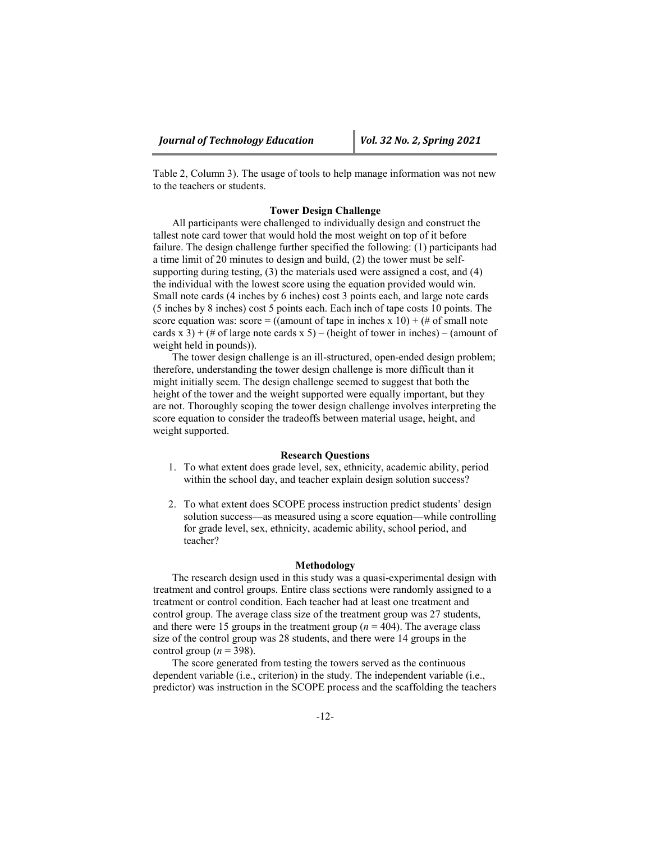Table 2, Column 3). The usage of tools to help manage information was not new to the teachers or students.

### **Tower Design Challenge**

All participants were challenged to individually design and construct the tallest note card tower that would hold the most weight on top of it before failure. The design challenge further specified the following: (1) participants had a time limit of 20 minutes to design and build, (2) the tower must be selfsupporting during testing, (3) the materials used were assigned a cost, and (4) the individual with the lowest score using the equation provided would win. Small note cards (4 inches by 6 inches) cost 3 points each, and large note cards (5 inches by 8 inches) cost 5 points each. Each inch of tape costs 10 points. The score equation was: score = ((amount of tape in inches x 10) + (# of small note cards x 3) + (# of large note cards x 5) – (height of tower in inches) – (amount of weight held in pounds)).

The tower design challenge is an ill-structured, open-ended design problem; therefore, understanding the tower design challenge is more difficult than it might initially seem. The design challenge seemed to suggest that both the height of the tower and the weight supported were equally important, but they are not. Thoroughly scoping the tower design challenge involves interpreting the score equation to consider the tradeoffs between material usage, height, and weight supported.

#### **Research Questions**

- 1. To what extent does grade level, sex, ethnicity, academic ability, period within the school day, and teacher explain design solution success?
- 2. To what extent does SCOPE process instruction predict students' design solution success—as measured using a score equation—while controlling for grade level, sex, ethnicity, academic ability, school period, and teacher?

#### **Methodology**

The research design used in this study was a quasi-experimental design with treatment and control groups. Entire class sections were randomly assigned to a treatment or control condition. Each teacher had at least one treatment and control group. The average class size of the treatment group was 27 students, and there were 15 groups in the treatment group ( $n = 404$ ). The average class size of the control group was 28 students, and there were 14 groups in the control group ( $n = 398$ ).

The score generated from testing the towers served as the continuous dependent variable (i.e., criterion) in the study. The independent variable (i.e., predictor) was instruction in the SCOPE process and the scaffolding the teachers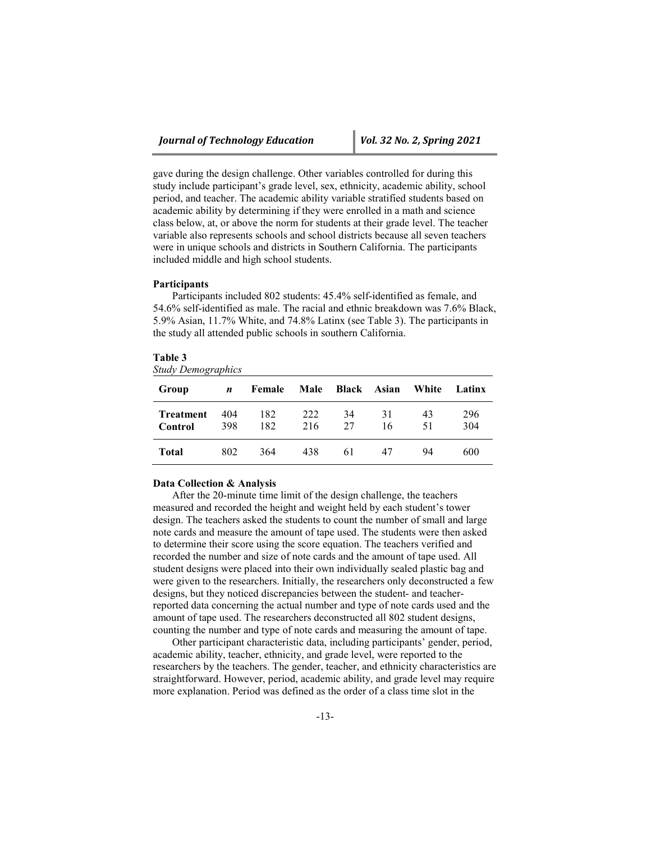gave during the design challenge. Other variables controlled for during this study include participant's grade level, sex, ethnicity, academic ability, school period, and teacher. The academic ability variable stratified students based on academic ability by determining if they were enrolled in a math and science class below, at, or above the norm for students at their grade level. The teacher variable also represents schools and school districts because all seven teachers were in unique schools and districts in Southern California. The participants included middle and high school students.

#### **Participants**

Participants included 802 students: 45.4% self-identified as female, and 54.6% self-identified as male. The racial and ethnic breakdown was 7.6% Black, 5.9% Asian, 11.7% White, and 74.8% Latinx (see Table 3). The participants in the study all attended public schools in southern California.

|  | ч<br>π | m<br>٦. |  |
|--|--------|---------|--|
|--|--------|---------|--|

*Study Demographics*

| Group                       | n          | Female     | Male       | Black    | Asian    | White    | Latinx     |
|-----------------------------|------------|------------|------------|----------|----------|----------|------------|
| <b>Treatment</b><br>Control | 404<br>398 | 182<br>182 | 222<br>216 | 34<br>27 | 31<br>16 | 43<br>51 | 296<br>304 |
| Total                       | 802        | 364        | 438        | 61       | 47       | 94       | 600        |

#### **Data Collection & Analysis**

After the 20-minute time limit of the design challenge, the teachers measured and recorded the height and weight held by each student's tower design. The teachers asked the students to count the number of small and large note cards and measure the amount of tape used. The students were then asked to determine their score using the score equation. The teachers verified and recorded the number and size of note cards and the amount of tape used. All student designs were placed into their own individually sealed plastic bag and were given to the researchers. Initially, the researchers only deconstructed a few designs, but they noticed discrepancies between the student- and teacherreported data concerning the actual number and type of note cards used and the amount of tape used. The researchers deconstructed all 802 student designs, counting the number and type of note cards and measuring the amount of tape.

Other participant characteristic data, including participants' gender, period, academic ability, teacher, ethnicity, and grade level, were reported to the researchers by the teachers. The gender, teacher, and ethnicity characteristics are straightforward. However, period, academic ability, and grade level may require more explanation. Period was defined as the order of a class time slot in the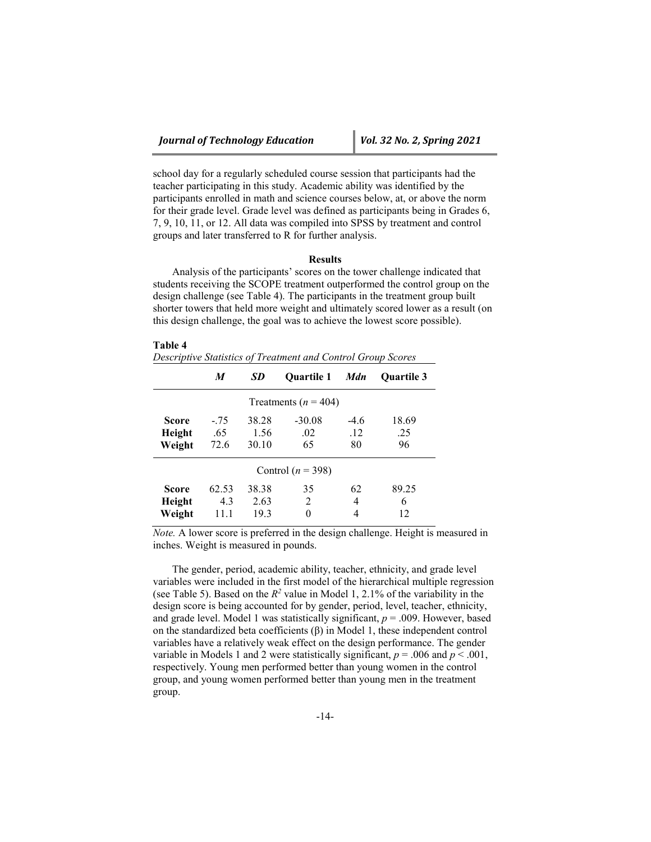**Table 4**

school day for a regularly scheduled course session that participants had the teacher participating in this study. Academic ability was identified by the participants enrolled in math and science courses below, at, or above the norm for their grade level. Grade level was defined as participants being in Grades 6, 7, 9, 10, 11, or 12. All data was compiled into SPSS by treatment and control groups and later transferred to R for further analysis.

#### **Results**

Analysis of the participants' scores on the tower challenge indicated that students receiving the SCOPE treatment outperformed the control group on the design challenge (see Table 4). The participants in the treatment group built shorter towers that held more weight and ultimately scored lower as a result (on this design challenge, the goal was to achieve the lowest score possible).

| таріє 4<br>Descriptive Statistics of Treatment and Control Group Scores |                       |                        |                       |                     |                    |  |  |  |  |
|-------------------------------------------------------------------------|-----------------------|------------------------|-----------------------|---------------------|--------------------|--|--|--|--|
|                                                                         | M                     | SD                     | <b>Ouartile 1</b>     | <b>Mdn</b>          | <b>Ouartile 3</b>  |  |  |  |  |
| Treatments ( $n = 404$ )                                                |                       |                        |                       |                     |                    |  |  |  |  |
| Score<br>Height<br>Weight                                               | $-.75$<br>.65<br>72.6 | 38.28<br>1.56<br>30.10 | $-30.08$<br>.02<br>65 | $-4.6$<br>.12<br>80 | 18.69<br>.25<br>96 |  |  |  |  |
| Control ( $n = 398$ )                                                   |                       |                        |                       |                     |                    |  |  |  |  |
| Score<br>Height<br>Weight                                               | 62.53<br>4.3<br>11.1  | 38.38<br>2.63<br>19.3  | 35<br>2<br>$\Omega$   | 62<br>4<br>4        | 89.25<br>6<br>12   |  |  |  |  |

*Note.* A lower score is preferred in the design challenge. Height is measured in inches. Weight is measured in pounds.

The gender, period, academic ability, teacher, ethnicity, and grade level variables were included in the first model of the hierarchical multiple regression (see Table 5). Based on the  $R^2$  value in Model 1, 2.1% of the variability in the design score is being accounted for by gender, period, level, teacher, ethnicity, and grade level. Model 1 was statistically significant,  $p = .009$ . However, based on the standardized beta coefficients (β) in Model 1, these independent control variables have a relatively weak effect on the design performance. The gender variable in Models 1 and 2 were statistically significant,  $p = .006$  and  $p < .001$ , respectively. Young men performed better than young women in the control group, and young women performed better than young men in the treatment group.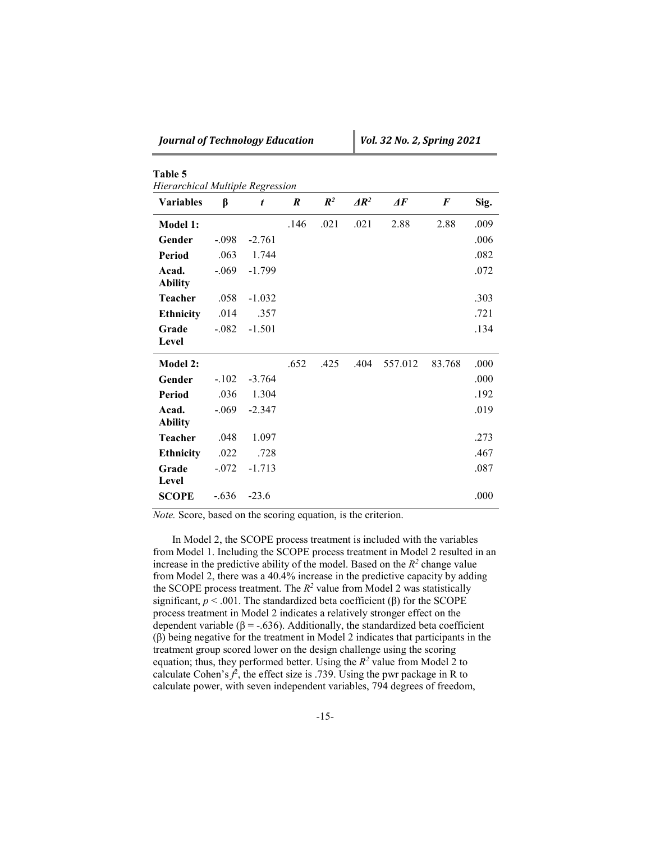|  |  | Journal of Technology Education |  |  |
|--|--|---------------------------------|--|--|
|--|--|---------------------------------|--|--|

**Table 5**

| <b>Variables</b>        | β       | t        | $\boldsymbol{R}$ | $\mathbb{R}^2$ | $\Delta R^2$ | $\boldsymbol{\varDelta}$ F | $\bm{F}$ | Sig. |
|-------------------------|---------|----------|------------------|----------------|--------------|----------------------------|----------|------|
| Model 1:                |         |          | .146             | .021           | .021         | 2.88                       | 2.88     | .009 |
| Gender                  | $-.098$ | $-2.761$ |                  |                |              |                            |          | .006 |
| <b>Period</b>           | .063    | 1.744    |                  |                |              |                            |          | .082 |
| Acad.<br><b>Ability</b> | $-.069$ | $-1.799$ |                  |                |              |                            |          | .072 |
| <b>Teacher</b>          | .058    | $-1.032$ |                  |                |              |                            |          | .303 |
| <b>Ethnicity</b>        | .014    | .357     |                  |                |              |                            |          | .721 |
| Grade<br>Level          | $-.082$ | $-1.501$ |                  |                |              |                            |          | .134 |
| Model 2:                |         |          | .652             | .425           | .404         | 557.012                    | 83.768   | .000 |
| Gender                  | $-.102$ | $-3.764$ |                  |                |              |                            |          | .000 |
| <b>Period</b>           | .036    | 1.304    |                  |                |              |                            |          | .192 |
| Acad.<br><b>Ability</b> | $-.069$ | $-2.347$ |                  |                |              |                            |          | .019 |
| <b>Teacher</b>          | .048    | 1.097    |                  |                |              |                            |          | .273 |
| <b>Ethnicity</b>        | .022    | .728     |                  |                |              |                            |          | .467 |
| Grade<br>Level          | $-.072$ | $-1.713$ |                  |                |              |                            |          | .087 |
|                         |         |          |                  |                |              |                            |          |      |

*Note.* Score, based on the scoring equation, is the criterion.

In Model 2, the SCOPE process treatment is included with the variables from Model 1. Including the SCOPE process treatment in Model 2 resulted in an increase in the predictive ability of the model. Based on the  $R^2$  change value from Model 2, there was a 40.4% increase in the predictive capacity by adding the SCOPE process treatment. The  $R^2$  value from Model 2 was statistically significant,  $p < .001$ . The standardized beta coefficient ( $\beta$ ) for the SCOPE process treatment in Model 2 indicates a relatively stronger effect on the dependent variable ( $\beta$  = -.636). Additionally, the standardized beta coefficient (β) being negative for the treatment in Model 2 indicates that participants in the treatment group scored lower on the design challenge using the scoring equation; thus, they performed better. Using the  $R^2$  value from Model 2 to calculate Cohen's  $f^2$ , the effect size is .739. Using the pwr package in R to calculate power, with seven independent variables, 794 degrees of freedom,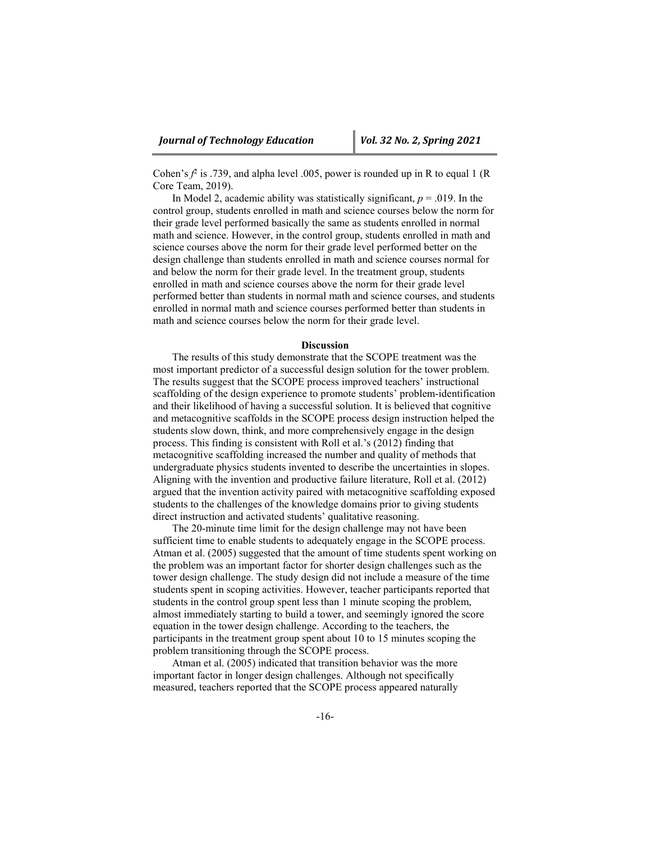Cohen's  $f^2$  is .739, and alpha level .005, power is rounded up in R to equal 1 (R Core Team, 2019).

In Model 2, academic ability was statistically significant,  $p = .019$ . In the control group, students enrolled in math and science courses below the norm for their grade level performed basically the same as students enrolled in normal math and science. However, in the control group, students enrolled in math and science courses above the norm for their grade level performed better on the design challenge than students enrolled in math and science courses normal for and below the norm for their grade level. In the treatment group, students enrolled in math and science courses above the norm for their grade level performed better than students in normal math and science courses, and students enrolled in normal math and science courses performed better than students in math and science courses below the norm for their grade level.

#### **Discussion**

The results of this study demonstrate that the SCOPE treatment was the most important predictor of a successful design solution for the tower problem. The results suggest that the SCOPE process improved teachers' instructional scaffolding of the design experience to promote students' problem-identification and their likelihood of having a successful solution. It is believed that cognitive and metacognitive scaffolds in the SCOPE process design instruction helped the students slow down, think, and more comprehensively engage in the design process. This finding is consistent with Roll et al.'s (2012) finding that metacognitive scaffolding increased the number and quality of methods that undergraduate physics students invented to describe the uncertainties in slopes. Aligning with the invention and productive failure literature, Roll et al. (2012) argued that the invention activity paired with metacognitive scaffolding exposed students to the challenges of the knowledge domains prior to giving students direct instruction and activated students' qualitative reasoning.

The 20-minute time limit for the design challenge may not have been sufficient time to enable students to adequately engage in the SCOPE process. Atman et al. (2005) suggested that the amount of time students spent working on the problem was an important factor for shorter design challenges such as the tower design challenge. The study design did not include a measure of the time students spent in scoping activities. However, teacher participants reported that students in the control group spent less than 1 minute scoping the problem, almost immediately starting to build a tower, and seemingly ignored the score equation in the tower design challenge. According to the teachers, the participants in the treatment group spent about 10 to 15 minutes scoping the problem transitioning through the SCOPE process.

Atman et al. (2005) indicated that transition behavior was the more important factor in longer design challenges. Although not specifically measured, teachers reported that the SCOPE process appeared naturally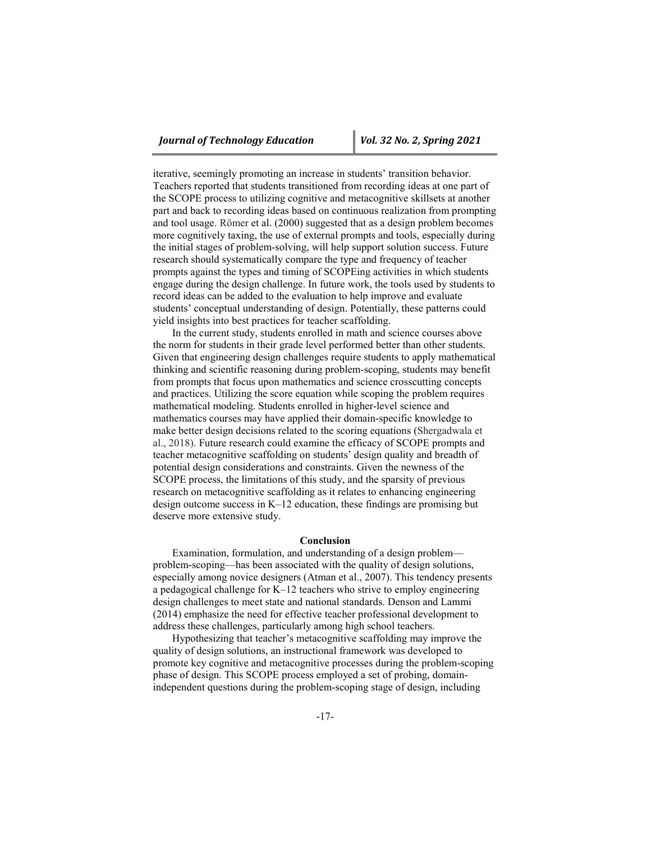iterative, seemingly promoting an increase in students' transition behavior. Teachers reported that students transitioned from recording ideas at one part of the SCOPE process to utilizing cognitive and metacognitive skillsets at another part and back to recording ideas based on continuous realization from prompting and tool usage. Römer et al. (2000) suggested that as a design problem becomes more cognitively taxing, the use of external prompts and tools, especially during the initial stages of problem-solving, will help support solution success. Future research should systematically compare the type and frequency of teacher prompts against the types and timing of SCOPEing activities in which students engage during the design challenge. In future work, the tools used by students to record ideas can be added to the evaluation to help improve and evaluate students' conceptual understanding of design. Potentially, these patterns could yield insights into best practices for teacher scaffolding.

In the current study, students enrolled in math and science courses above the norm for students in their grade level performed better than other students. Given that engineering design challenges require students to apply mathematical thinking and scientific reasoning during problem-scoping, students may benefit from prompts that focus upon mathematics and science crosscutting concepts and practices. Utilizing the score equation while scoping the problem requires mathematical modeling. Students enrolled in higher-level science and mathematics courses may have applied their domain-specific knowledge to make better design decisions related to the scoring equations (Shergadwala et al., 2018). Future research could examine the efficacy of SCOPE prompts and teacher metacognitive scaffolding on students' design quality and breadth of potential design considerations and constraints. Given the newness of the SCOPE process, the limitations of this study, and the sparsity of previous research on metacognitive scaffolding as it relates to enhancing engineering design outcome success in K–12 education, these findings are promising but deserve more extensive study.

#### **Conclusion**

Examination, formulation, and understanding of a design problem problem-scoping—has been associated with the quality of design solutions, especially among novice designers (Atman et al., 2007). This tendency presents a pedagogical challenge for K–12 teachers who strive to employ engineering design challenges to meet state and national standards. Denson and Lammi (2014) emphasize the need for effective teacher professional development to address these challenges, particularly among high school teachers.

Hypothesizing that teacher's metacognitive scaffolding may improve the quality of design solutions, an instructional framework was developed to promote key cognitive and metacognitive processes during the problem-scoping phase of design. This SCOPE process employed a set of probing, domainindependent questions during the problem-scoping stage of design, including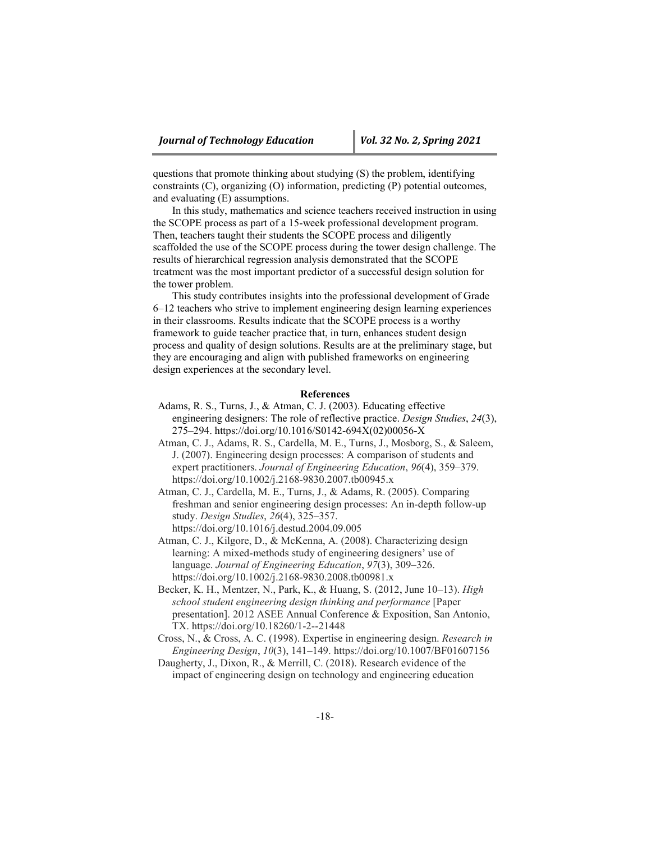questions that promote thinking about studying (S) the problem, identifying constraints (C), organizing (O) information, predicting (P) potential outcomes, and evaluating (E) assumptions.

In this study, mathematics and science teachers received instruction in using the SCOPE process as part of a 15-week professional development program. Then, teachers taught their students the SCOPE process and diligently scaffolded the use of the SCOPE process during the tower design challenge. The results of hierarchical regression analysis demonstrated that the SCOPE treatment was the most important predictor of a successful design solution for the tower problem.

This study contributes insights into the professional development of Grade 6–12 teachers who strive to implement engineering design learning experiences in their classrooms. Results indicate that the SCOPE process is a worthy framework to guide teacher practice that, in turn, enhances student design process and quality of design solutions. Results are at the preliminary stage, but they are encouraging and align with published frameworks on engineering design experiences at the secondary level.

#### **References**

- Adams, R. S., Turns, J., & Atman, C. J. (2003). Educating effective engineering designers: The role of reflective practice. *Design Studies*, *24*(3), 275–294. [https://doi.org/10.1016/S0142-694X\(02\)00056-X](https://doi.org/10.1016/S0142-694X(02)00056-X)
- Atman, C. J., Adams, R. S., Cardella, M. E., Turns, J., Mosborg, S., & Saleem, J. (2007). Engineering design processes: A comparison of students and expert practitioners. *Journal of Engineering Education*, *96*(4), 359–379. <https://doi.org/10.1002/j.2168-9830.2007.tb00945.x>
- Atman, C. J., Cardella, M. E., Turns, J., & Adams, R. (2005). Comparing freshman and senior engineering design processes: An in-depth follow-up study. *Design Studies*, *26*(4), 325–357. <https://doi.org/10.1016/j.destud.2004.09.005>
- Atman, C. J., Kilgore, D., & McKenna, A. (2008). Characterizing design learning: A mixed‐methods study of engineering designers' use of language. *Journal of Engineering Education*, *97*(3), 309–326. <https://doi.org/10.1002/j.2168-9830.2008.tb00981.x>
- Becker, K. H., Mentzer, N., Park, K., & Huang, S. (2012, June 10–13). *High school student engineering design thinking and performance* [Paper presentation]. 2012 ASEE Annual Conference & Exposition, San Antonio, TX.<https://doi.org/10.18260/1-2--21448>
- Cross, N., & Cross, A. C. (1998). Expertise in engineering design. *Research in Engineering Design*, *10*(3), 141–149.<https://doi.org/10.1007/BF01607156>
- Daugherty, J., Dixon, R., & Merrill, C. (2018). Research evidence of the impact of engineering design on technology and engineering education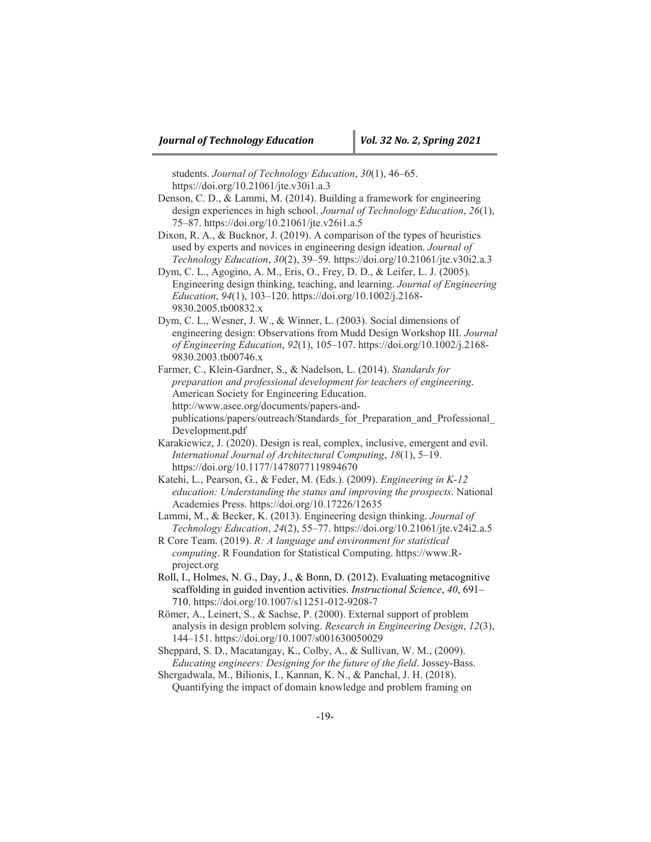students. *Journal of Technology Education*, *30*(1), 46–65. <https://doi.org/10.21061/jte.v30i1.a.3>

- Denson, C. D., & Lammi, M. (2014). Building a framework for engineering design experiences in high school. *Journal of Technology Education*, *26*(1), 75–87.<https://doi.org/10.21061/jte.v26i1.a.5>
- Dixon, R. A., & Bucknor, J. (2019). A comparison of the types of heuristics used by experts and novices in engineering design ideation. *Journal of Technology Education*, *30*(2), 39–59.<https://doi.org/10.21061/jte.v30i2.a.3>
- Dym, C. L., Agogino, A. M., Eris, O., Frey, D. D., & Leifer, L. J. (2005). Engineering design thinking, teaching, and learning. *Journal of Engineering Education*, *94*(1), 103–120. [https://doi.org/10.1002/j.2168-](https://doi.org/10.1002/j.2168-9830.2005.tb00832.x) [9830.2005.tb00832.x](https://doi.org/10.1002/j.2168-9830.2005.tb00832.x)

Dym, C. L., Wesner, J. W., & Winner, L. (2003). Social dimensions of engineering design: Observations from Mudd Design Workshop III. *Journal of Engineering Education*, *92*(1), 105–107. [https://doi.org/10.1002/j.2168-](https://doi.org/10.1002/j.2168-9830.2003.tb00746.x) [9830.2003.tb00746.x](https://doi.org/10.1002/j.2168-9830.2003.tb00746.x)

Farmer, C., Klein-Gardner, S., & Nadelson, L. (2014). *Standards for preparation and professional development for teachers of engineering*. American Society for Engineering Education. [http://www.asee.org/documents/papers-and](http://www.asee.org/documents/papers-and-publications/papers/outreach/Standards_for_Preparation_and_Professional_Development.pdf)[publications/papers/outreach/Standards\\_for\\_Preparation\\_and\\_Professional\\_](http://www.asee.org/documents/papers-and-publications/papers/outreach/Standards_for_Preparation_and_Professional_Development.pdf) [Development.pdf](http://www.asee.org/documents/papers-and-publications/papers/outreach/Standards_for_Preparation_and_Professional_Development.pdf)

- Karakiewicz, J. (2020). Design is real, complex, inclusive, emergent and evil. *International Journal of Architectural Computing*, *18*(1), 5–19. <https://doi.org/10.1177/1478077119894670>
- Katehi, L., Pearson, G., & Feder, M. (Eds.). (2009). *Engineering in K-12 education: Understanding the status and improving the prospects*. National Academies Press.<https://doi.org/10.17226/12635>
- Lammi, M., & Becker, K. (2013). Engineering design thinking. *Journal of Technology Education*, *24*(2), 55–77.<https://doi.org/10.21061/jte.v24i2.a.5>

R Core Team. (2019). *R: A language and environment for statistical computing*. R Foundation for Statistical Computing. [https://www.R](https://www.r-project.org/)[project.org](https://www.r-project.org/)

- Roll, I., Holmes, N. G., Day, J., & Bonn, D. (2012). Evaluating metacognitive scaffolding in guided invention activities. *Instructional Science*, *40*, 691– 710.<https://doi.org/10.1007/s11251-012-9208-7>
- Römer, A., Leinert, S., & Sachse, P. (2000). External support of problem analysis in design problem solving. *Research in Engineering Design*, *12*(3), 144–151.<https://doi.org/10.1007/s001630050029>
- Sheppard, S. D., Macatangay, K., Colby, A., & Sullivan, W. M., (2009). *Educating engineers: Designing for the future of the field*. Jossey-Bass.

Shergadwala, M., Bilionis, I., Kannan, K. N., & Panchal, J. H. (2018). Quantifying the impact of domain knowledge and problem framing on